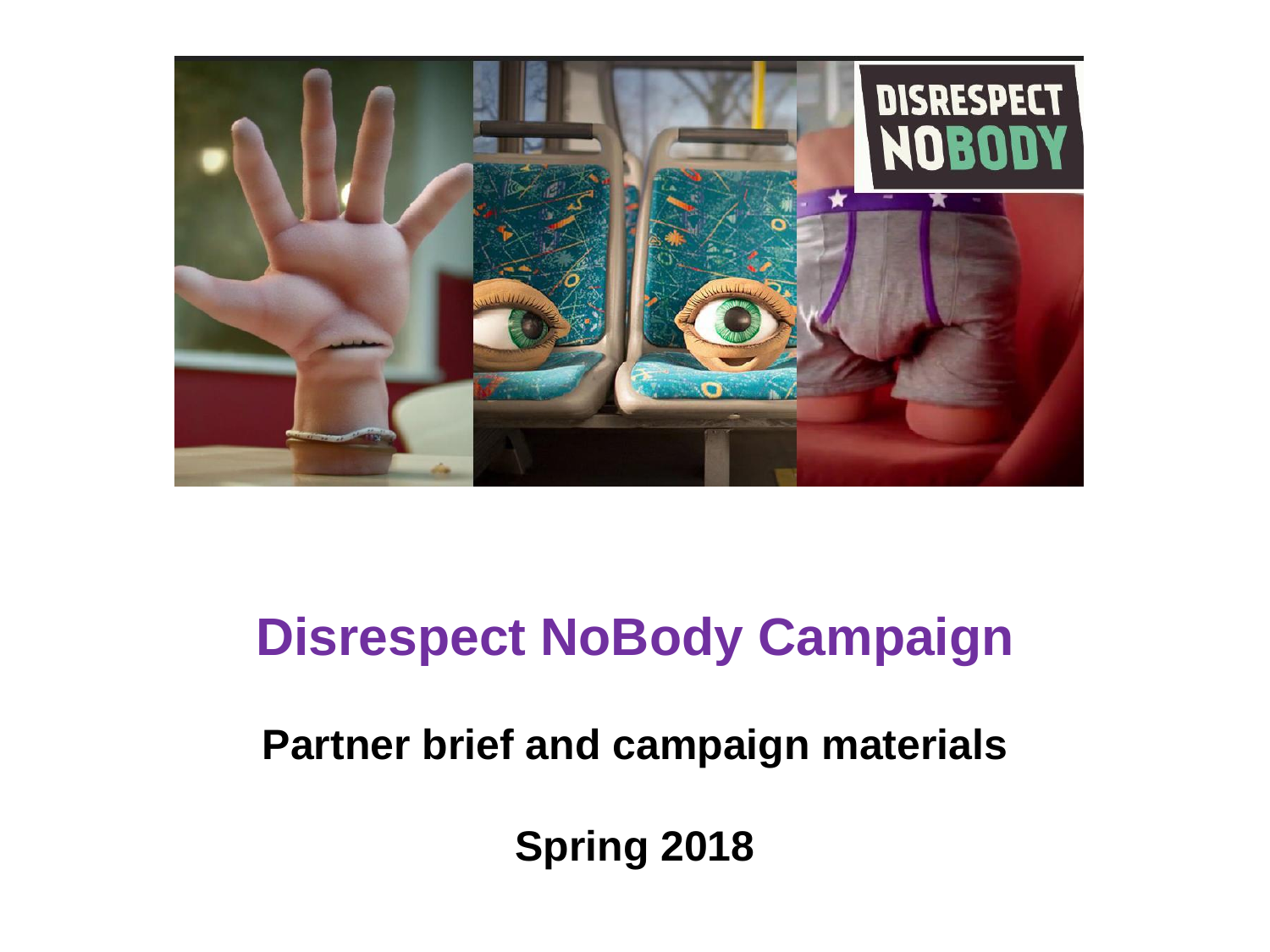

# **Disrespect NoBody Campaign**

**Partner brief and campaign materials**

**Spring 2018**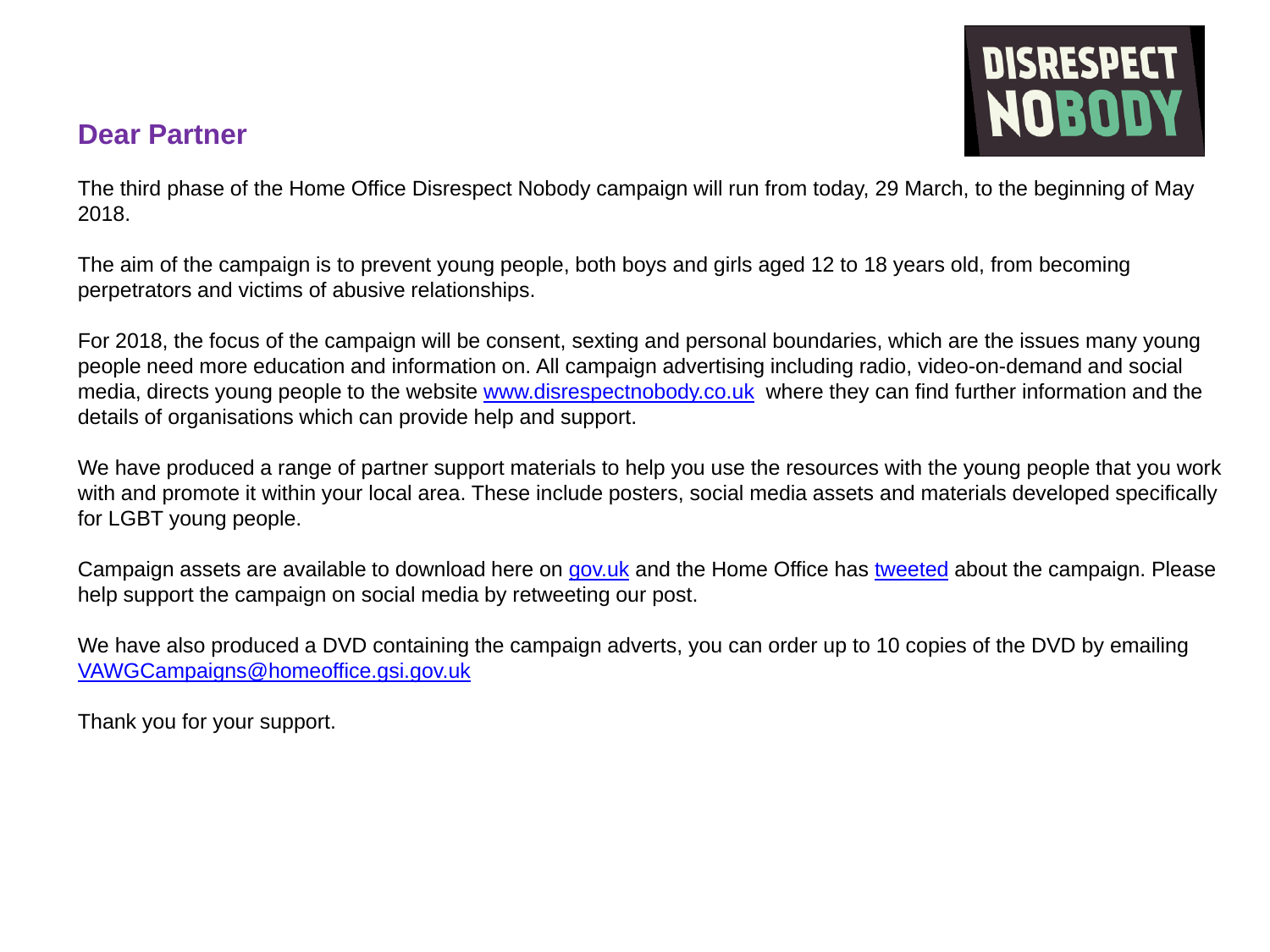#### **Dear Partner**



The third phase of the Home Office Disrespect Nobody campaign will run from today, 29 March, to the beginning of May 2018.

The aim of the campaign is to prevent young people, both boys and girls aged 12 to 18 years old, from becoming perpetrators and victims of abusive relationships.

For 2018, the focus of the campaign will be consent, sexting and personal boundaries, which are the issues many young people need more education and information on. All campaign advertising including radio, video-on-demand and social media, directs young people to the website [www.disrespectnobody.co.uk](https://www.disrespectnobody.co.uk/) where they can find further information and the details of organisations which can provide help and support.

We have produced a range of partner support materials to help you use the resources with the young people that you work with and promote it within your local area. These include posters, social media assets and materials developed specifically for LGBT young people.

Campaign assets are available to download here on [gov.uk](https://www.gov.uk/government/collections/disrespect-nobody-campaign) and the Home Office has [tweeted](https://twitter.com/ukhomeoffice/status/979365063051145217) about the campaign. Please help support the campaign on social media by retweeting our post.

We have also produced a DVD containing the campaign adverts, you can order up to 10 copies of the DVD by emailing [VAWGCampaigns@homeoffice.gsi.gov.uk](mailto:VAWGCampaigns@homeoffice.gsi.gov.uk)

Thank you for your support.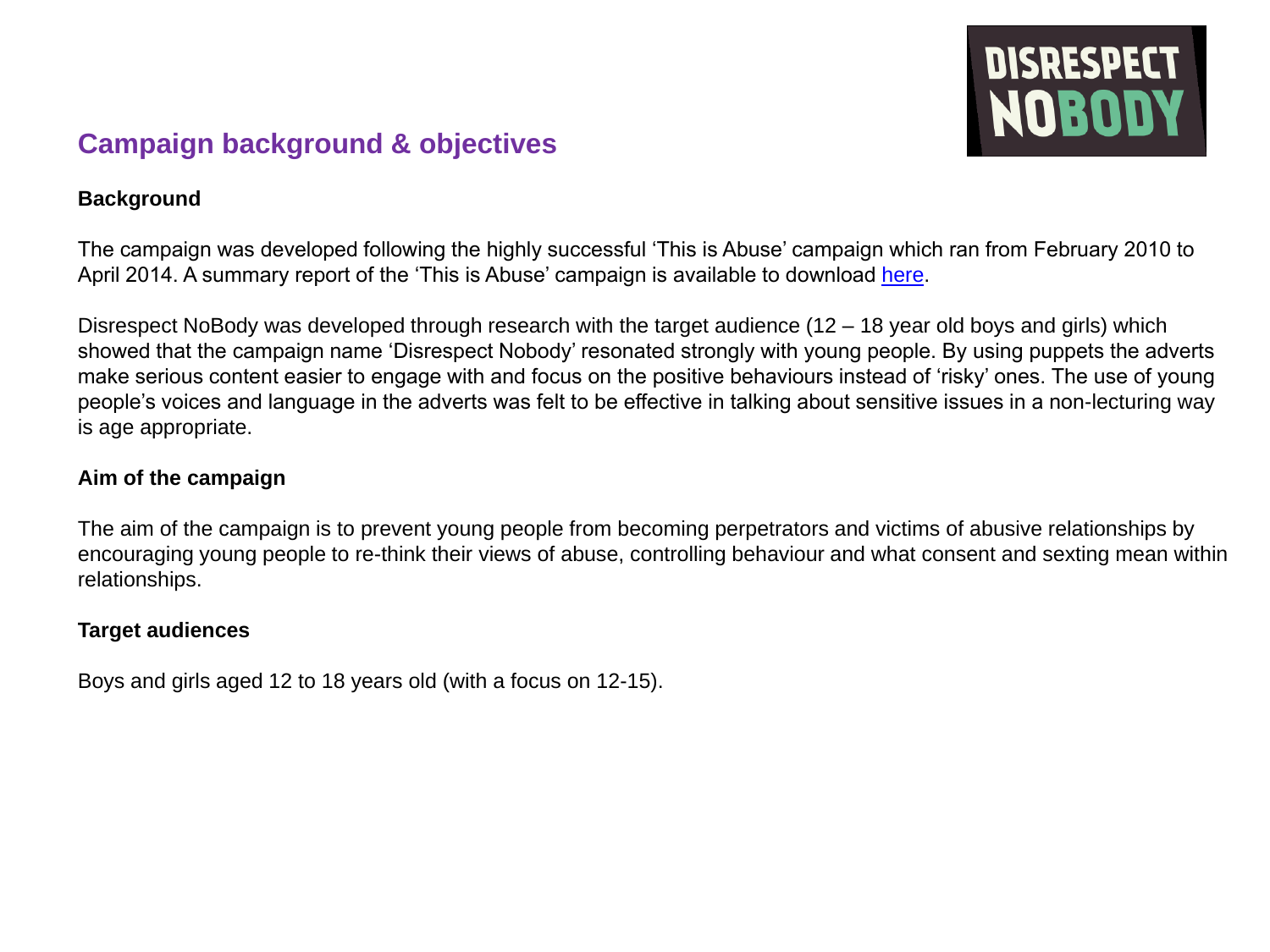

#### **Campaign background & objectives**

#### **Background**

The campaign was developed following the highly successful 'This is Abuse' campaign which ran from February 2010 to April 2014. A summary report of the 'This is Abuse' campaign is available to download [here.](https://www.gov.uk/government/publications/this-is-abuse-summary-report)

Disrespect NoBody was developed through research with the target audience (12 – 18 year old boys and girls) which showed that the campaign name 'Disrespect Nobody' resonated strongly with young people. By using puppets the adverts make serious content easier to engage with and focus on the positive behaviours instead of 'risky' ones. The use of young people's voices and language in the adverts was felt to be effective in talking about sensitive issues in a non-lecturing way is age appropriate.

#### **Aim of the campaign**

The aim of the campaign is to prevent young people from becoming perpetrators and victims of abusive relationships by encouraging young people to re-think their views of abuse, controlling behaviour and what consent and sexting mean within relationships.

#### **Target audiences**

Boys and girls aged 12 to 18 years old (with a focus on 12-15).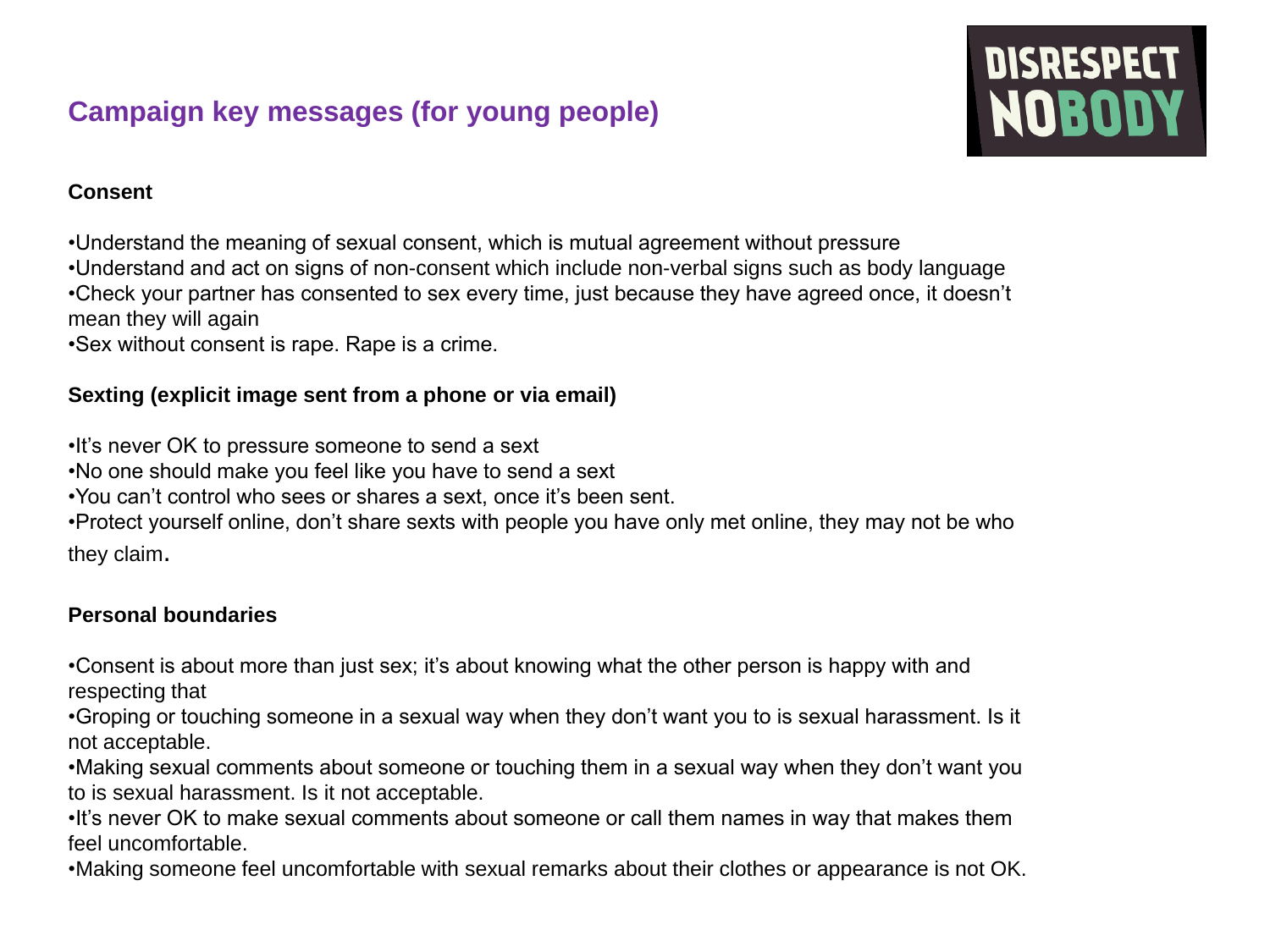### **Campaign key messages (for young people)**

# **DISRESPECT**<br>**NOBODY**

#### **Consent**

•Understand the meaning of sexual consent, which is mutual agreement without pressure

•Understand and act on signs of non-consent which include non-verbal signs such as body language •Check your partner has consented to sex every time, just because they have agreed once, it doesn't mean they will again

•Sex without consent is rape. Rape is a crime.

#### **Sexting (explicit image sent from a phone or via email)**

•It's never OK to pressure someone to send a sext

•No one should make you feel like you have to send a sext

•You can't control who sees or shares a sext, once it's been sent.

•Protect yourself online, don't share sexts with people you have only met online, they may not be who

they claim.

#### **Personal boundaries**

•Consent is about more than just sex; it's about knowing what the other person is happy with and respecting that

•Groping or touching someone in a sexual way when they don't want you to is sexual harassment. Is it not acceptable.

•Making sexual comments about someone or touching them in a sexual way when they don't want you to is sexual harassment. Is it not acceptable.

•It's never OK to make sexual comments about someone or call them names in way that makes them feel uncomfortable.

•Making someone feel uncomfortable with sexual remarks about their clothes or appearance is not OK.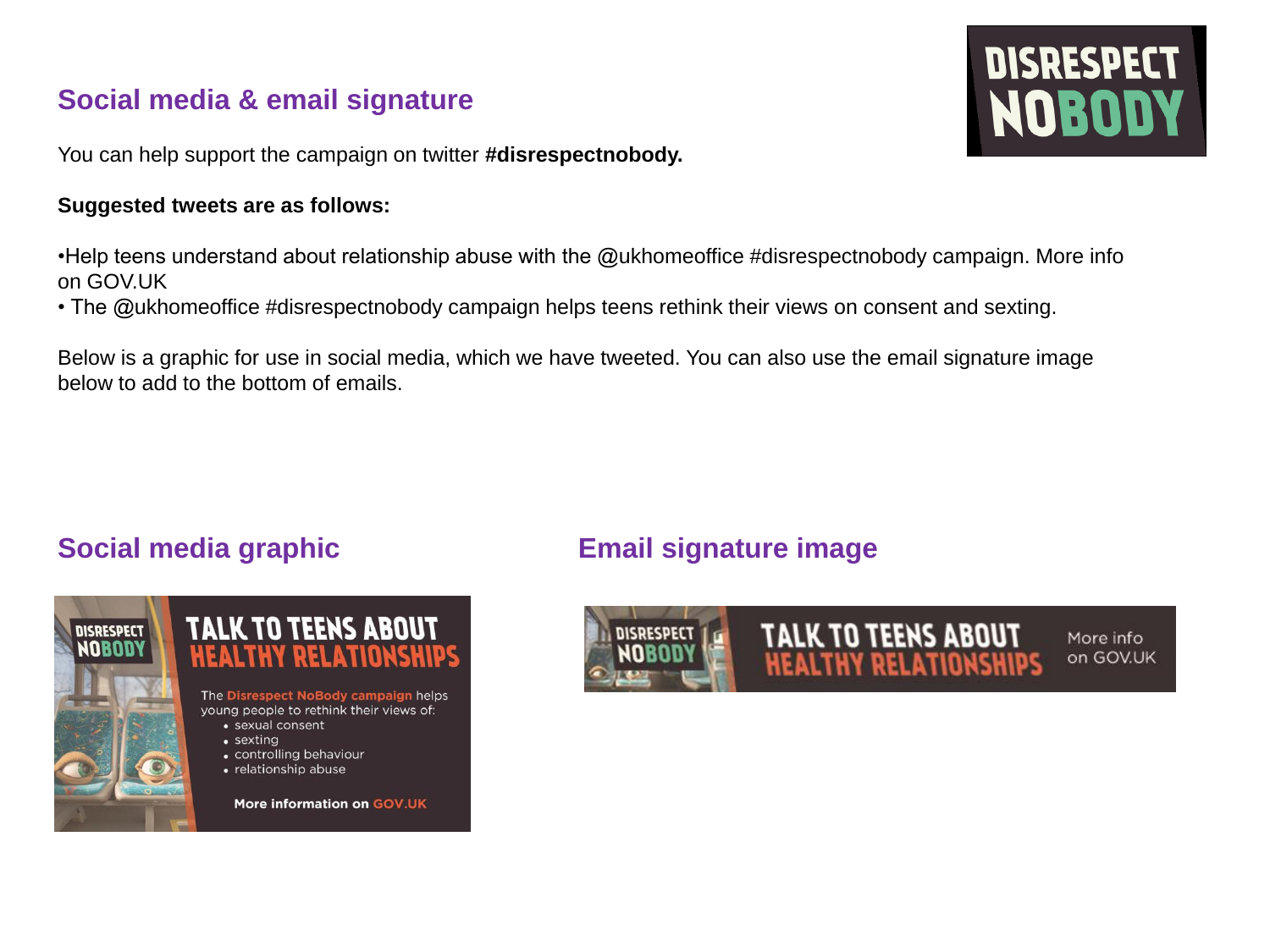### **Social media & email signature**

You can help support the campaign on twitter **#disrespectnobody.** 

#### **Suggested tweets are as follows:**

•Help teens understand about relationship abuse with the @ukhomeoffice #disrespectnobody campaign. More info on GOV.UK

• The @ukhomeoffice #disrespectnobody campaign helps teens rethink their views on consent and sexting.

Below is a graphic for use in social media, which we have tweeted. You can also use the email signature image below to add to the bottom of emails.



#### **Social media graphic Email signature image**



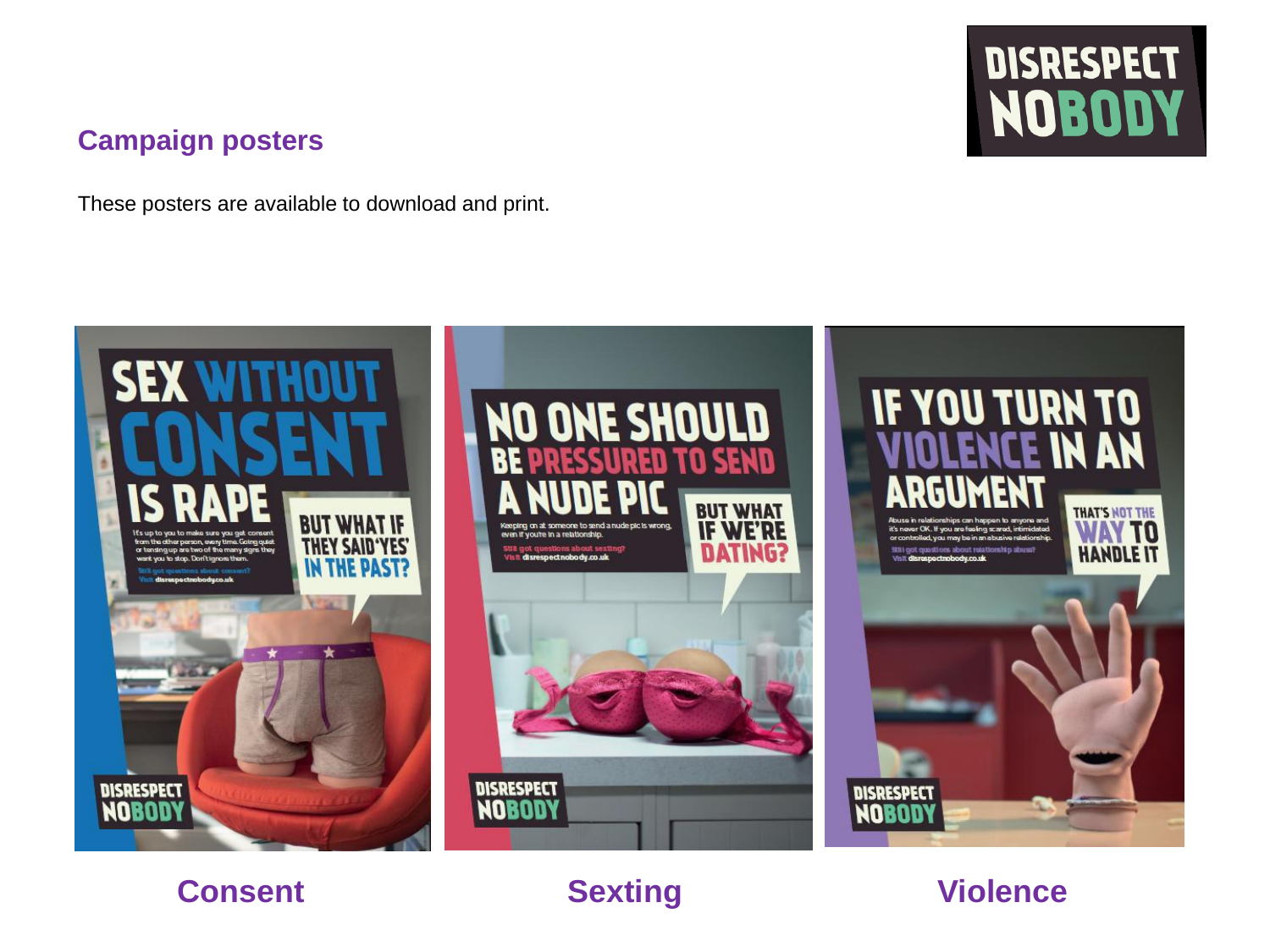#### **Campaign posters**

These posters are available to download and print.

# **DISRESPECT** NOBODY



## **Consent Sexting Violence**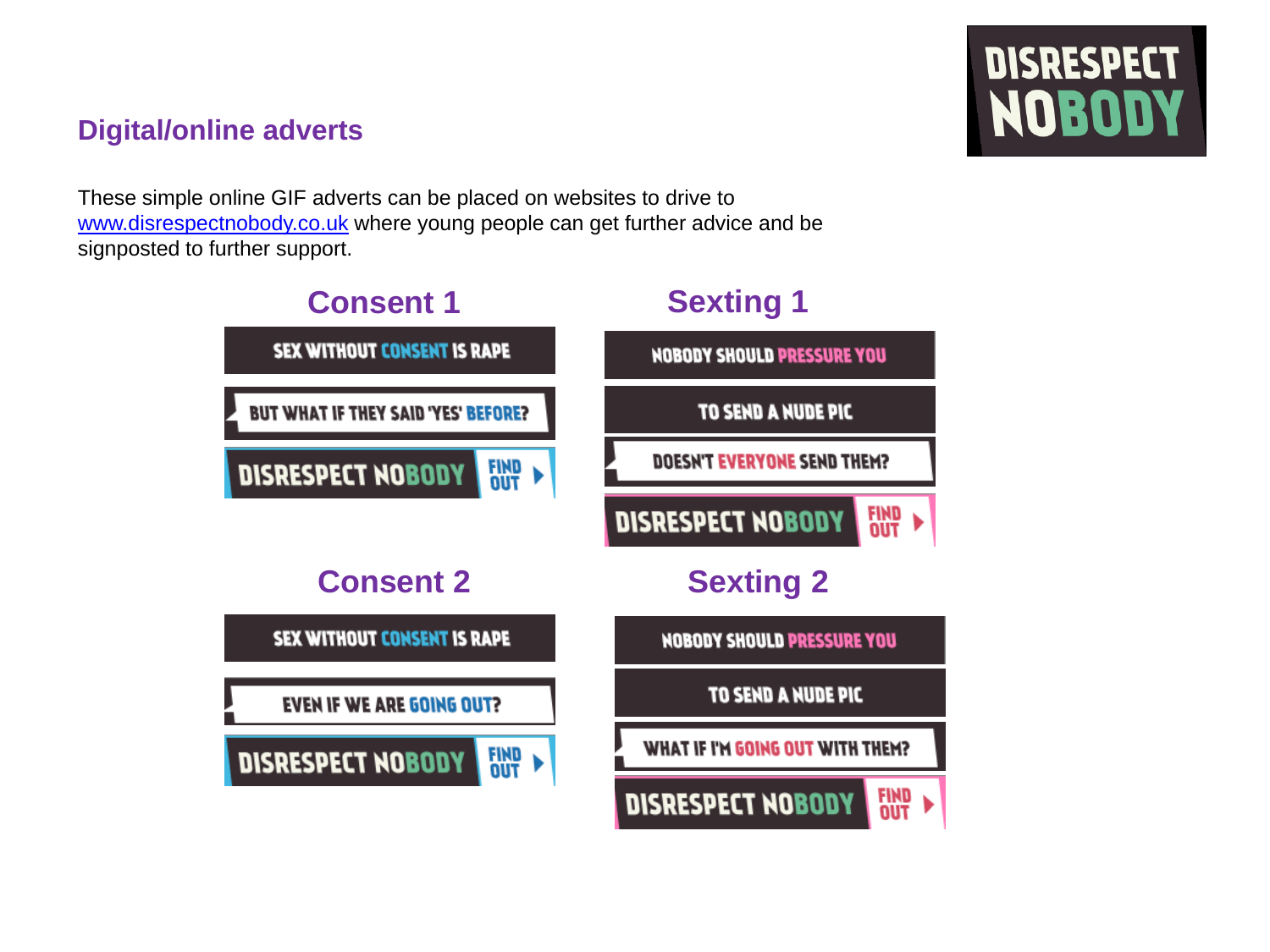# **DISRESPECT** NOBODY

#### **Digital/online adverts**

These simple online GIF adverts can be placed on websites to drive to [www.disrespectnobody.co.uk](https://www.disrespectnobody.co.uk/) where young people can get further advice and be signposted to further support.

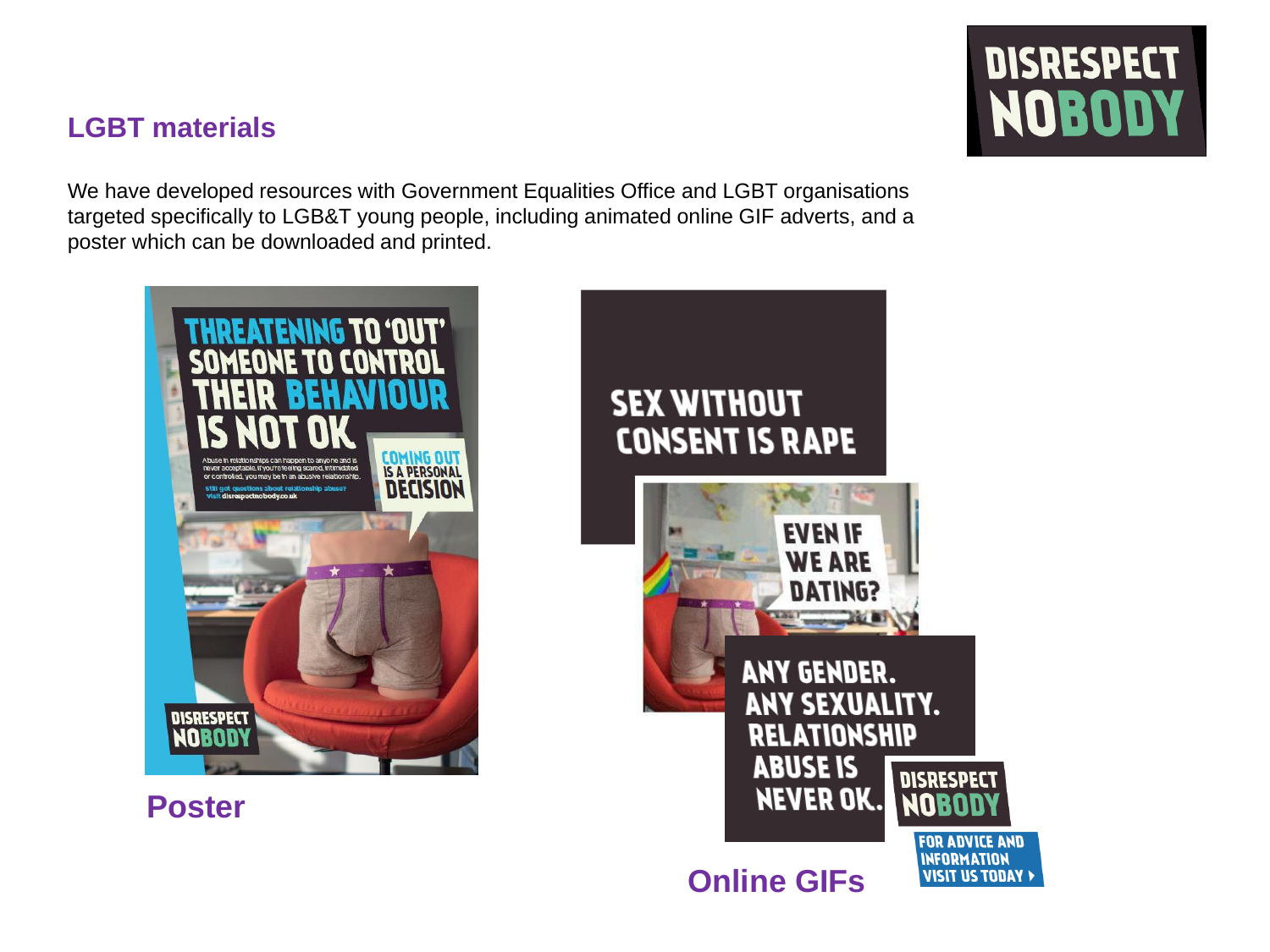#### **LGBT materials**

We have developed resources with Government Equalities Office and LGBT organisations targeted specifically to LGB&T young people, including animated online GIF adverts, and a poster which can be downloaded and printed.



 **Poster** 



**ABUSE IS DISRESPECT NEVER OK.** 

**Online GIFs**



**FOR ADVICE AND INFORMATION VISIT US TODAY >**